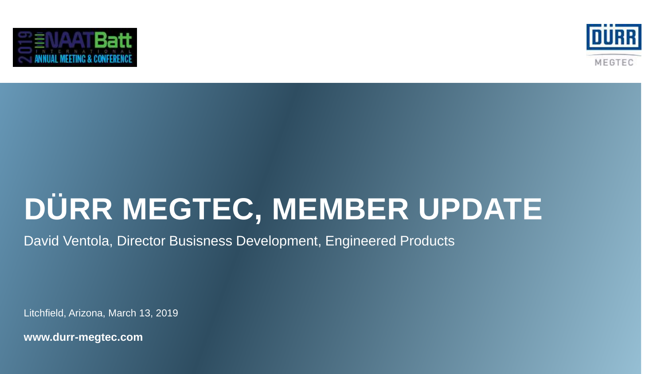



# **DÜRR MEGTEC, MEMBER UPDATE**

David Ventola, Director Busisness Development, Engineered Products

Litchfield, Arizona, March 13, 2019

**www.durr-megtec.com**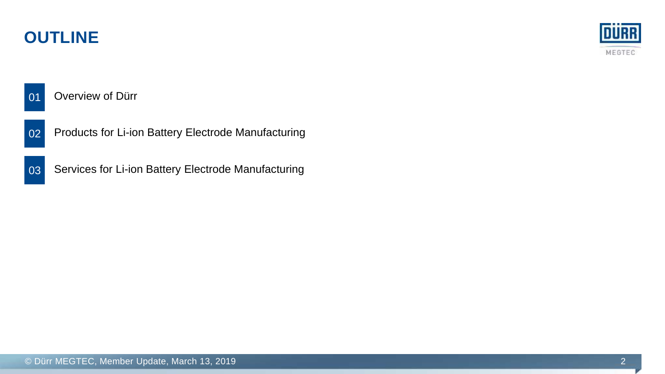

#### 01 Overview of Dürr

- 02 Products for Li-ion Battery Electrode Manufacturing
- 03 Services for Li-ion Battery Electrode Manufacturing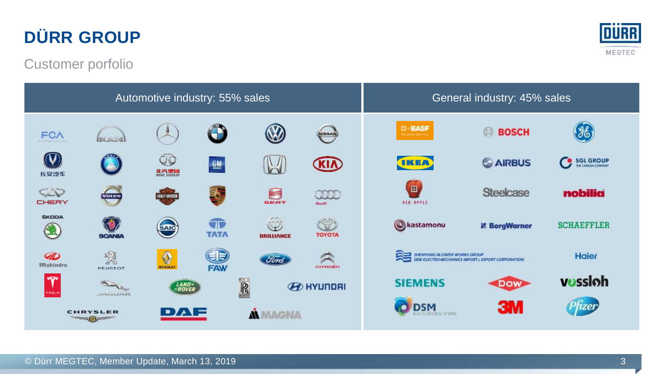## **DÜRR GROUP**

## MEGTEC

Customer porfolio

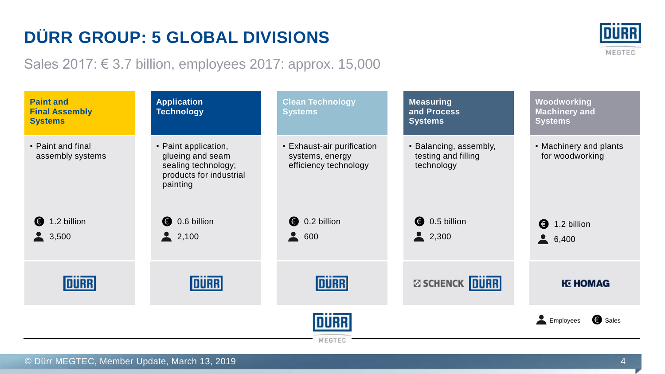## **DÜRR GROUP: 5 GLOBAL DIVISIONS**



#### Sales 2017: € 3.7 billion, employees 2017: approx. 15,000

| <b>Paint and</b><br><b>Final Assembly</b><br><b>Systems</b> | <b>Application</b><br><b>Technology</b>                                                                | <b>Clean Technology</b><br><b>Systems</b>                              | <b>Measuring</b><br>and Process<br><b>Systems</b>           | Woodworking<br><b>Machinery and</b><br><b>Systems</b> |
|-------------------------------------------------------------|--------------------------------------------------------------------------------------------------------|------------------------------------------------------------------------|-------------------------------------------------------------|-------------------------------------------------------|
| • Paint and final<br>assembly systems                       | • Paint application,<br>glueing and seam<br>sealing technology;<br>products for industrial<br>painting | • Exhaust-air purification<br>systems, energy<br>efficiency technology | • Balancing, assembly,<br>testing and filling<br>technology | • Machinery and plants<br>for woodworking             |
| ❸<br>1.2 billion<br>3,500                                   | <b>3</b> 0.6 billion<br>2,100                                                                          | $\bigcirc$ 0.2 billion<br>600                                          | $\bullet$ 0.5 billion<br>2,300                              | ❸<br>1.2 billion<br>2<br>6,400                        |
| <b>DURR</b>                                                 | DURR                                                                                                   | <b>DURR</b>                                                            | <b>EX SCHENCK DURR</b>                                      | <b>KE HOMAG</b>                                       |
|                                                             |                                                                                                        | MEGTEC                                                                 |                                                             | Sales<br>Employees                                    |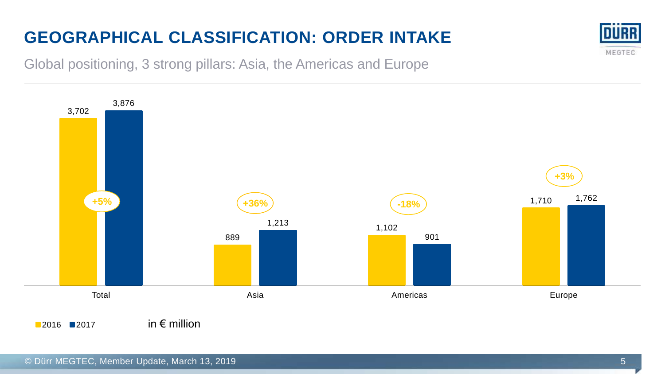### **GEOGRAPHICAL CLASSIFICATION: ORDER INTAKE**



Global positioning, 3 strong pillars: Asia, the Americas and Europe





in  $\epsilon$  million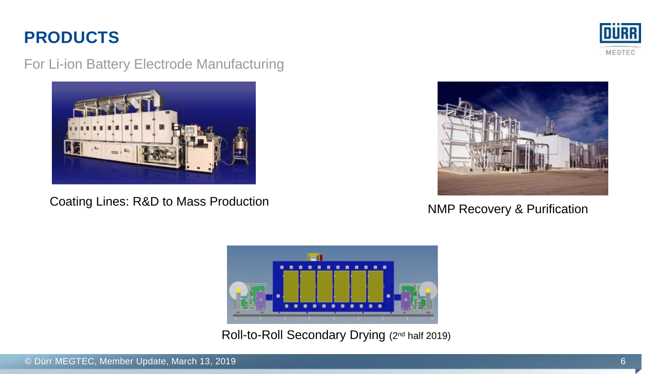### **PRODUCTS**

MEGTEC

For Li-ion Battery Electrode Manufacturing



Coating Lines: R&D to Mass Production NMP Recovery & Purification





Roll-to-Roll Secondary Drying (2<sup>nd</sup> half 2019)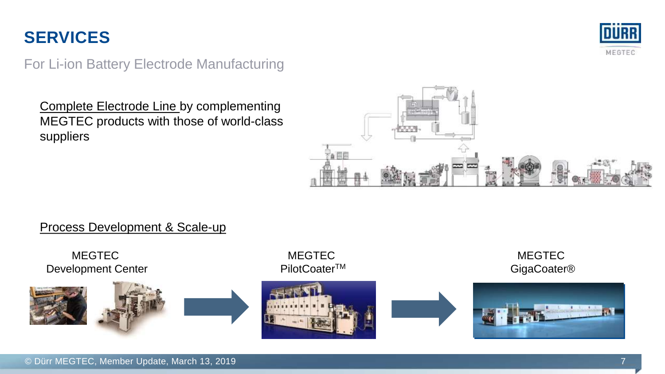

### **SERVICES**

For Li-ion Battery Electrode Manufacturing

Complete Electrode Line by complementing MEGTEC products with those of world-class suppliers



#### Process Development & Scale-up

**MEGTEC** Development Center





**MEGTEC** PilotCoaterTM



**MEGTEC** GigaCoater®